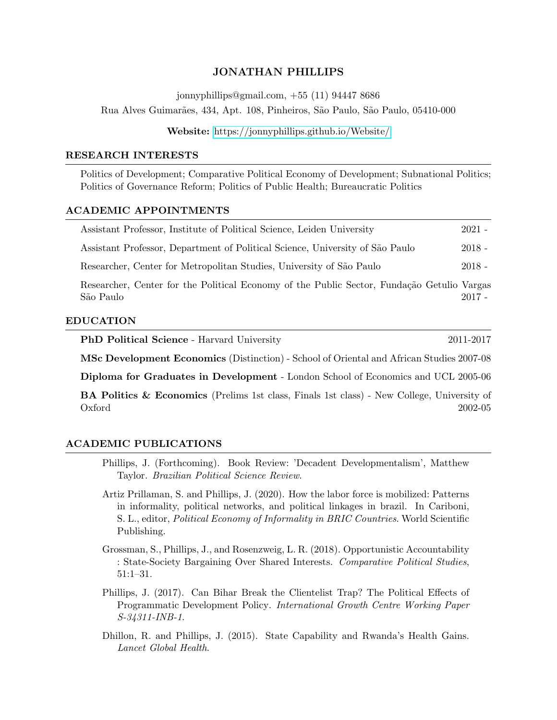### JONATHAN PHILLIPS

jonnyphillips@gmail.com, +55 (11) 94447 8686

Rua Alves Guimar˜aes, 434, Apt. 108, Pinheiros, S˜ao Paulo, S˜ao Paulo, 05410-000

Website: <https://jonnyphillips.github.io/Website/>

#### RESEARCH INTERESTS

Politics of Development; Comparative Political Economy of Development; Subnational Politics; Politics of Governance Reform; Politics of Public Health; Bureaucratic Politics

#### ACADEMIC APPOINTMENTS

| Assistant Professor, Institute of Political Science, Leiden University        | $2021 -$ |
|-------------------------------------------------------------------------------|----------|
| Assistant Professor, Department of Political Science, University of São Paulo | $2018 -$ |
| Researcher, Center for Metropolitan Studies, University of São Paulo          | $2018 -$ |
| י זי יונרא או מינות וג'ו החויטות וג'ו מינה ומינה מ                            |          |

Researcher, Center for the Political Economy of the Public Sector, Fundação Getulio Vargas  $S\tilde{a}$ o Paulo  $2017$  -

### EDUCATION

PhD Political Science - Harvard University 2011-2017

MSc Development Economics (Distinction) - School of Oriental and African Studies 2007-08

Diploma for Graduates in Development - London School of Economics and UCL 2005-06

BA Politics & Economics (Prelims 1st class, Finals 1st class) - New College, University of Oxford 2002-05

#### ACADEMIC PUBLICATIONS

Phillips, J. (Forthcoming). Book Review: 'Decadent Developmentalism', Matthew Taylor. Brazilian Political Science Review.

Artiz Prillaman, S. and Phillips, J. (2020). How the labor force is mobilized: Patterns in informality, political networks, and political linkages in brazil. In Cariboni, S. L., editor, Political Economy of Informality in BRIC Countries. World Scientific Publishing.

Grossman, S., Phillips, J., and Rosenzweig, L. R. (2018). Opportunistic Accountability : State-Society Bargaining Over Shared Interests. Comparative Political Studies, 51:1–31.

- Phillips, J. (2017). Can Bihar Break the Clientelist Trap? The Political Effects of Programmatic Development Policy. International Growth Centre Working Paper S-34311-INB-1.
- Dhillon, R. and Phillips, J. (2015). State Capability and Rwanda's Health Gains. Lancet Global Health.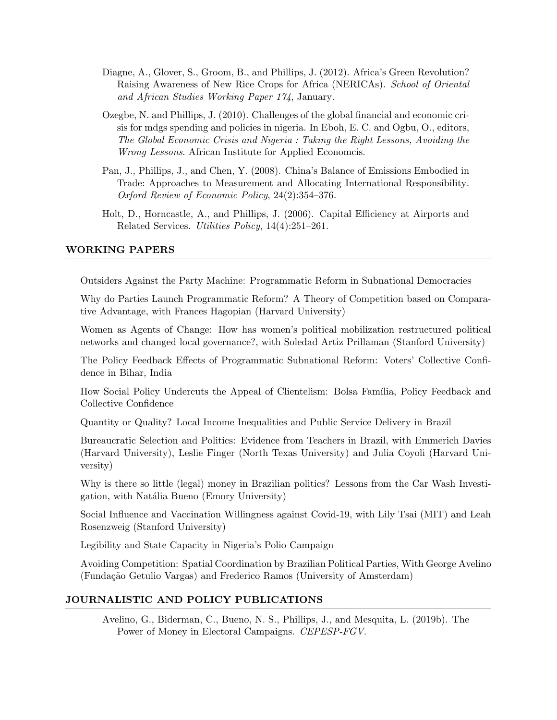- Diagne, A., Glover, S., Groom, B., and Phillips, J. (2012). Africa's Green Revolution? Raising Awareness of New Rice Crops for Africa (NERICAs). School of Oriental and African Studies Working Paper 174, January.
- Ozegbe, N. and Phillips, J. (2010). Challenges of the global financial and economic crisis for mdgs spending and policies in nigeria. In Eboh, E. C. and Ogbu, O., editors, The Global Economic Crisis and Nigeria : Taking the Right Lessons, Avoiding the Wrong Lessons. African Institute for Applied Economcis.
- Pan, J., Phillips, J., and Chen, Y. (2008). China's Balance of Emissions Embodied in Trade: Approaches to Measurement and Allocating International Responsibility. Oxford Review of Economic Policy, 24(2):354–376.
- Holt, D., Horncastle, A., and Phillips, J. (2006). Capital Efficiency at Airports and Related Services. Utilities Policy, 14(4):251–261.

### WORKING PAPERS

Outsiders Against the Party Machine: Programmatic Reform in Subnational Democracies

Why do Parties Launch Programmatic Reform? A Theory of Competition based on Comparative Advantage, with Frances Hagopian (Harvard University)

Women as Agents of Change: How has women's political mobilization restructured political networks and changed local governance?, with Soledad Artiz Prillaman (Stanford University)

The Policy Feedback Effects of Programmatic Subnational Reform: Voters' Collective Confidence in Bihar, India

How Social Policy Undercuts the Appeal of Clientelism: Bolsa Família, Policy Feedback and Collective Confidence

Quantity or Quality? Local Income Inequalities and Public Service Delivery in Brazil

Bureaucratic Selection and Politics: Evidence from Teachers in Brazil, with Emmerich Davies (Harvard University), Leslie Finger (North Texas University) and Julia Coyoli (Harvard University)

Why is there so little (legal) money in Brazilian politics? Lessons from the Car Wash Investigation, with Natália Bueno (Emory University)

Social Influence and Vaccination Willingness against Covid-19, with Lily Tsai (MIT) and Leah Rosenzweig (Stanford University)

Legibility and State Capacity in Nigeria's Polio Campaign

Avoiding Competition: Spatial Coordination by Brazilian Political Parties, With George Avelino (Fundação Getulio Vargas) and Frederico Ramos (University of Amsterdam)

### JOURNALISTIC AND POLICY PUBLICATIONS

Avelino, G., Biderman, C., Bueno, N. S., Phillips, J., and Mesquita, L. (2019b). The Power of Money in Electoral Campaigns. CEPESP-FGV.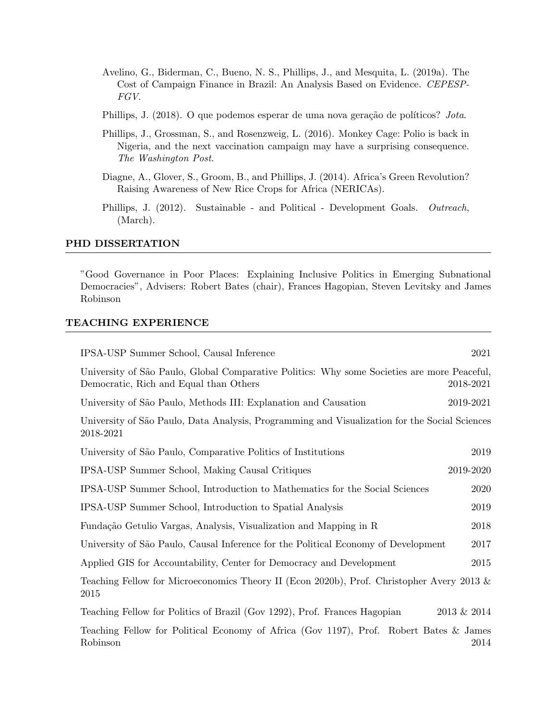- Avelino, G., Biderman, C., Bueno, N. S., Phillips, J., and Mesquita, L. (2019a). The Cost of Campaign Finance in Brazil: An Analysis Based on Evidence. CEPESP-FGV.
- Phillips, J. (2018). O que podemos esperar de uma nova geração de políticos? Jota.
- Phillips, J., Grossman, S., and Rosenzweig, L. (2016). Monkey Cage: Polio is back in Nigeria, and the next vaccination campaign may have a surprising consequence. The Washington Post.
- Diagne, A., Glover, S., Groom, B., and Phillips, J. (2014). Africa's Green Revolution? Raising Awareness of New Rice Crops for Africa (NERICAs).
- Phillips, J. (2012). Sustainable and Political Development Goals. Outreach, (March).

#### PHD DISSERTATION

"Good Governance in Poor Places: Explaining Inclusive Politics in Emerging Subnational Democracies", Advisers: Robert Bates (chair), Frances Hagopian, Steven Levitsky and James Robinson

### TEACHING EXPERIENCE

| IPSA-USP Summer School, Causal Inference<br>2021                                                                                                   |
|----------------------------------------------------------------------------------------------------------------------------------------------------|
| University of São Paulo, Global Comparative Politics: Why some Societies are more Peaceful,<br>Democratic, Rich and Equal than Others<br>2018-2021 |
| University of São Paulo, Methods III: Explanation and Causation<br>2019-2021                                                                       |
| University of São Paulo, Data Analysis, Programming and Visualization for the Social Sciences<br>2018-2021                                         |
| University of São Paulo, Comparative Politics of Institutions<br>2019                                                                              |
| IPSA-USP Summer School, Making Causal Critiques<br>2019-2020                                                                                       |
| IPSA-USP Summer School, Introduction to Mathematics for the Social Sciences<br>2020                                                                |
| IPSA-USP Summer School, Introduction to Spatial Analysis<br>2019                                                                                   |
| Fundação Getulio Vargas, Analysis, Visualization and Mapping in R<br>2018                                                                          |
| University of São Paulo, Causal Inference for the Political Economy of Development<br>2017                                                         |
| Applied GIS for Accountability, Center for Democracy and Development<br>2015                                                                       |
| Teaching Fellow for Microeconomics Theory II (Econ 2020b), Prof. Christopher Avery 2013 $\&$<br>2015                                               |
| Teaching Fellow for Politics of Brazil (Gov 1292), Prof. Frances Hagopian<br>2013 & 2014                                                           |
| Teaching Fellow for Political Economy of Africa (Gov 1197), Prof. Robert Bates & James<br>Robinson<br>2014                                         |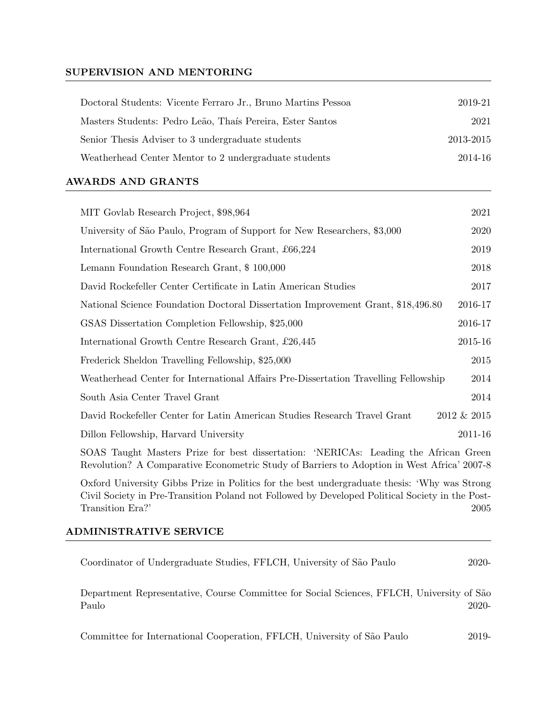## SUPERVISION AND MENTORING

| Doctoral Students: Vicente Ferraro Jr., Bruno Martins Pessoa | 2019-21   |
|--------------------------------------------------------------|-----------|
| Masters Students: Pedro Leão, Thaís Pereira, Ester Santos    | 2021      |
| Senior Thesis Adviser to 3 undergraduate students            | 2013-2015 |
| Weatherhead Center Mentor to 2 undergraduate students        | 2014-16   |
|                                                              |           |

# AWARDS AND GRANTS

| MIT Govlab Research Project, \$98,964                                               | 2021        |
|-------------------------------------------------------------------------------------|-------------|
| University of São Paulo, Program of Support for New Researchers, \$3,000            | 2020        |
| International Growth Centre Research Grant, £66,224                                 | 2019        |
| Lemann Foundation Research Grant, \$100,000                                         | 2018        |
| David Rockefeller Center Certificate in Latin American Studies                      | 2017        |
| National Science Foundation Doctoral Dissertation Improvement Grant, \$18,496.80    | 2016-17     |
| GSAS Dissertation Completion Fellowship, \$25,000                                   | 2016-17     |
| International Growth Centre Research Grant, £26,445                                 | 2015-16     |
| Frederick Sheldon Travelling Fellowship, \$25,000                                   | 2015        |
| Weatherhead Center for International Affairs Pre-Dissertation Travelling Fellowship | 2014        |
| South Asia Center Travel Grant                                                      | 2014        |
| David Rockefeller Center for Latin American Studies Research Travel Grant           | 2012 & 2015 |
| Dillon Fellowship, Harvard University                                               | 2011-16     |
|                                                                                     |             |

SOAS Taught Masters Prize for best dissertation: 'NERICAs: Leading the African Green Revolution? A Comparative Econometric Study of Barriers to Adoption in West Africa' 2007-8

Oxford University Gibbs Prize in Politics for the best undergraduate thesis: 'Why was Strong Civil Society in Pre-Transition Poland not Followed by Developed Political Society in the Post-Transition Era?' 2005

## ADMINISTRATIVE SERVICE

| Coordinator of Undergraduate Studies, FFLCH, University of São Paulo | $2020-$ |
|----------------------------------------------------------------------|---------|
|----------------------------------------------------------------------|---------|

Department Representative, Course Committee for Social Sciences, FFLCH, University of S˜ao Paulo 2020-

Committee for International Cooperation, FFLCH, University of São Paulo 2019-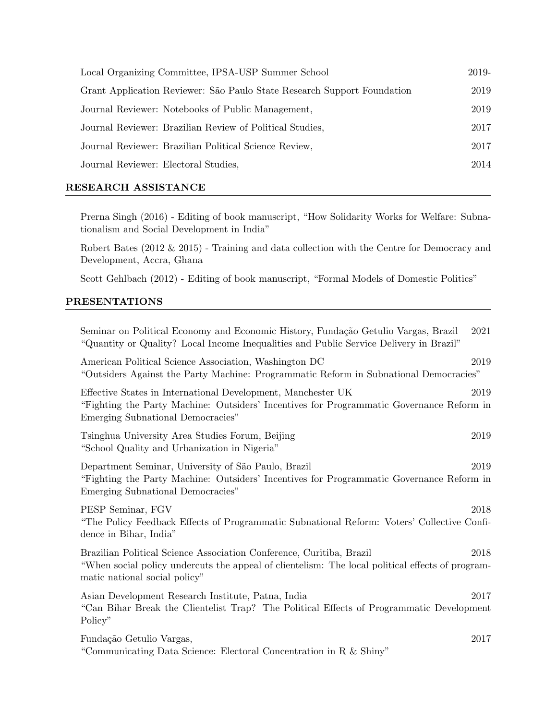| Local Organizing Committee, IPSA-USP Summer School                      | 2019- |
|-------------------------------------------------------------------------|-------|
| Grant Application Reviewer: São Paulo State Research Support Foundation | 2019  |
| Journal Reviewer: Notebooks of Public Management,                       | 2019  |
| Journal Reviewer: Brazilian Review of Political Studies,                | 2017  |
| Journal Reviewer: Brazilian Political Science Review,                   | 2017  |
| Journal Reviewer: Electoral Studies,                                    | 2014  |
|                                                                         |       |

## RESEARCH ASSISTANCE

Prerna Singh (2016) - Editing of book manuscript, "How Solidarity Works for Welfare: Subnationalism and Social Development in India"

Robert Bates (2012 & 2015) - Training and data collection with the Centre for Democracy and Development, Accra, Ghana

Scott Gehlbach (2012) - Editing of book manuscript, "Formal Models of Domestic Politics"

### PRESENTATIONS

| Seminar on Political Economy and Economic History, Fundação Getulio Vargas, Brazil<br>2021<br>"Quantity or Quality? Local Income Inequalities and Public Service Delivery in Brazil"                              |  |
|-------------------------------------------------------------------------------------------------------------------------------------------------------------------------------------------------------------------|--|
| American Political Science Association, Washington DC<br>2019<br>"Outsiders Against the Party Machine: Programmatic Reform in Subnational Democracies"                                                            |  |
| Effective States in International Development, Manchester UK<br>2019<br>"Fighting the Party Machine: Outsiders' Incentives for Programmatic Governance Reform in<br>Emerging Subnational Democracies"             |  |
| Tsinghua University Area Studies Forum, Beijing<br>2019<br>"School Quality and Urbanization in Nigeria"                                                                                                           |  |
| Department Seminar, University of São Paulo, Brazil<br>2019<br>"Fighting the Party Machine: Outsiders' Incentives for Programmatic Governance Reform in<br>Emerging Subnational Democracies"                      |  |
| PESP Seminar, FGV<br>2018<br>"The Policy Feedback Effects of Programmatic Subnational Reform: Voters' Collective Confi-<br>dence in Bihar, India"                                                                 |  |
| Brazilian Political Science Association Conference, Curitiba, Brazil<br>2018<br>"When social policy undercuts the appeal of clientelism: The local political effects of program-<br>matic national social policy" |  |
| Asian Development Research Institute, Patna, India<br>2017<br>"Can Bihar Break the Clientelist Trap? The Political Effects of Programmatic Development<br>Policy"                                                 |  |
| Fundação Getulio Vargas,<br>2017<br>"Communicating Data Science: Electoral Concentration in R & Shiny"                                                                                                            |  |